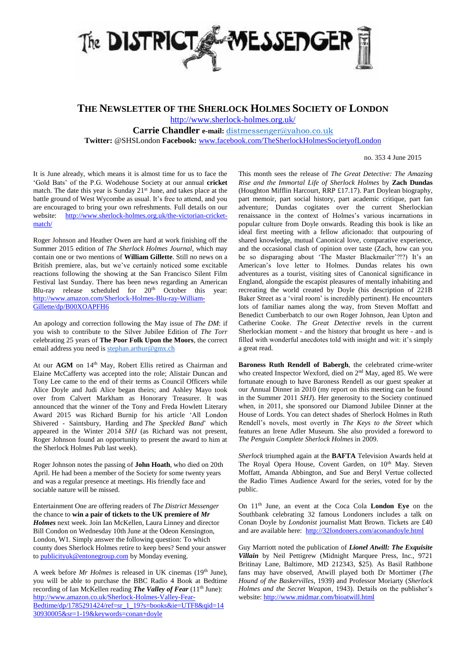

**THE NEWSLETTER OF THE SHERLOCK HOLMES SOCIETY OF LONDON**

<http://www.sherlock-holmes.org.uk/>

**Carrie Chandler e-mail:** [distmessenger@yahoo.co.uk](http://yahoo.co.uk/) **Twitter:** @SHSLondon **Facebook:** [www.facebook.com/TheSherlockHolmesSocietyofLondon](http://www.facebook.com/TheSherlockHolmesSocietyofLondon)

no. 353 4 June 2015

It is June already, which means it is almost time for us to face the 'Gold Bats' of the P.G. Wodehouse Society at our annual **cricket** match. The date this year is Sunday  $21<sup>st</sup>$  June, and takes place at the battle ground of West Wycombe as usual. It's free to attend, and you are encouraged to bring your own refreshments. Full details on our website: [http://www.sherlock-holmes.org.uk/the-victorian-cricket](http://www.sherlock-holmes.org.uk/the-victorian-cricket-match/)[match/](http://www.sherlock-holmes.org.uk/the-victorian-cricket-match/)

Roger Johnson and Heather Owen are hard at work finishing off the Summer 2015 edition of *The Sherlock Holmes Journal*, which may contain one or two mentions of **William Gillette**. Still no news on a British premiere, alas, but we've certainly noticed some excitable reactions following the showing at the San Francisco Silent Film Festival last Sunday. There has been news regarding an American Blu-ray release scheduled for 20<sup>th</sup> October this year: [http://www.amazon.com/Sherlock-Holmes-Blu-ray-William-](http://www.amazon.com/Sherlock-Holmes-Blu-ray-William-Gillette/dp/B00XOAPFH6)[Gillette/dp/B00XOAPFH6](http://www.amazon.com/Sherlock-Holmes-Blu-ray-William-Gillette/dp/B00XOAPFH6)

An apology and correction following the May issue of *The DM*: if you wish to contribute to the Silver Jubilee Edition of *The Torr* celebrating 25 years of **The Poor Folk Upon the Moors**, the correct email address you need is [stephan.arthur@gmx.ch](mailto:stephen.arthur@gmx.ch)

At our AGM on 14<sup>th</sup> May, Robert Ellis retired as Chairman and Elaine McCafferty was accepted into the role; Alistair Duncan and Tony Lee came to the end of their terms as Council Officers while Alice Doyle and Judi Alice began theirs; and Ashley Mayo took over from Calvert Markham as Honorary Treasurer. It was announced that the winner of the Tony and Freda Howlett Literary Award 2015 was Richard Burnip for his article 'All London Shivered - Saintsbury, Harding and *The Speckled Band*' which appeared in the Winter 2014 *SHJ* (as Richard was not present, Roger Johnson found an opportunity to present the award to him at the Sherlock Holmes Pub last week).

Roger Johnson notes the passing of **John Hoath**, who died on 20th April. He had been a member of the Society for some twenty years and was a regular presence at meetings. His friendly face and sociable nature will be missed.

Entertainment One are offering readers of *The District Messenger* the chance to **win a pair of tickets to the UK premiere of** *Mr Holmes* next week. Join Ian McKellen, Laura Linney and director Bill Condon on Wednesday 10th June at the Odeon Kensington, London, W1. Simply answer the following question: To which county does Sherlock Holmes retire to keep bees? Send your answer to [publicityuk@entonegroup.com](mailto:publicityuk@entonegroup.com) by Monday evening.

A week before *Mr Holmes* is released in UK cinemas (19th June), you will be able to purchase the BBC Radio 4 Book at Bedtime recording of Ian McKellen reading *The Valley of Fear* (11<sup>th</sup> June): [http://www.amazon.co.uk/Sherlock-Holmes-Valley-Fear-](http://www.amazon.co.uk/Sherlock-Holmes-Valley-Fear-Bedtime/dp/1785291424/ref=sr_1_19?s=books&ie=UTF8&qid=1430930005&sr=1-19&keywords=conan+doyle)[Bedtime/dp/1785291424/ref=sr\\_1\\_19?s=books&ie=UTF8&qid=14](http://www.amazon.co.uk/Sherlock-Holmes-Valley-Fear-Bedtime/dp/1785291424/ref=sr_1_19?s=books&ie=UTF8&qid=1430930005&sr=1-19&keywords=conan+doyle) [30930005&sr=1-19&keywords=conan+doyle](http://www.amazon.co.uk/Sherlock-Holmes-Valley-Fear-Bedtime/dp/1785291424/ref=sr_1_19?s=books&ie=UTF8&qid=1430930005&sr=1-19&keywords=conan+doyle)

This month sees the release of *The Great Detective: The Amazing Rise and the Immortal Life of Sherlock Holmes* by **Zach Dundas** (Houghton Mifflin Harcourt, RRP £17.17). Part Doylean biography, part memoir, part social history, part academic critique, part fan adventure; Dundas cogitates over the current Sherlockian renaissance in the context of Holmes's various incarnations in popular culture from Doyle onwards. Reading this book is like an ideal first meeting with a fellow aficionado: that outpouring of shared knowledge, mutual Canonical love, comparative experience, and the occasional clash of opinion over taste (Zach, how can you be so disparaging about 'The Master Blackmailer'?!?) It's an American's love letter to Holmes. Dundas relates his own adventures as a tourist, visiting sites of Canonical significance in England, alongside the escapist pleasures of mentally inhabiting and recreating the world created by Doyle (his description of 221B Baker Street as a 'viral room' is incredibly pertinent). He encounters lots of familiar names along the way, from Steven Moffatt and Benedict Cumberbatch to our own Roger Johnson, Jean Upton and Catherine Cooke. *The Great Detective* revels in the current Sherlockian moment - and the history that brought us here - and is filled with wonderful anecdotes told with insight and wit: it's simply a great read.

**Baroness Ruth Rendell of Babergh**, the celebrated crime-writer who created Inspector Wexford, died on 2<sup>nd</sup> May, aged 85. We were fortunate enough to have Baroness Rendell as our guest speaker at our Annual Dinner in 2010 (my report on this meeting can be found in the Summer 2011 *SHJ*). Her generosity to the Society continued when, in 2011, she sponsored our Diamond Jubilee Dinner at the House of Lords. You can detect shades of Sherlock Holmes in Ruth Rendell's novels, most overtly in *The Keys to the Street* which features an Irene Adler Museum. She also provided a foreword to *The Penguin Complete Sherlock Holmes* in 2009.

*Sherlock* triumphed again at the **BAFTA** Television Awards held at The Royal Opera House, Covent Garden, on 10<sup>th</sup> May. Steven Moffatt, Amanda Abbington, and Sue and Beryl Vertue collected the Radio Times Audience Award for the series, voted for by the public.

On 11th June, an event at the Coca Cola **London Eye** on the Southbank celebrating 32 famous Londoners includes a talk on Conan Doyle by *Londonist* journalist Matt Brown. Tickets are £40 and are available here:<http://32londoners.com/aconandoyle.html>

Guy Marriott noted the publication of *Lionel Atwill: The Exquisite Villain* by Neil Pettigrew (Midnight Marquee Press, Inc., 9721 Britinay Lane, Baltimore, MD 212343, \$25). As Basil Rathbone fans may have observed, Atwill played both Dr Mortimer (*The Hound of the Baskervilles*, 1939) and Professor Moriarty (*Sherlock Holmes and the Secret Weapon*, 1943). Details on the publisher's website:<http://www.midmar.com/bioatwill.html>